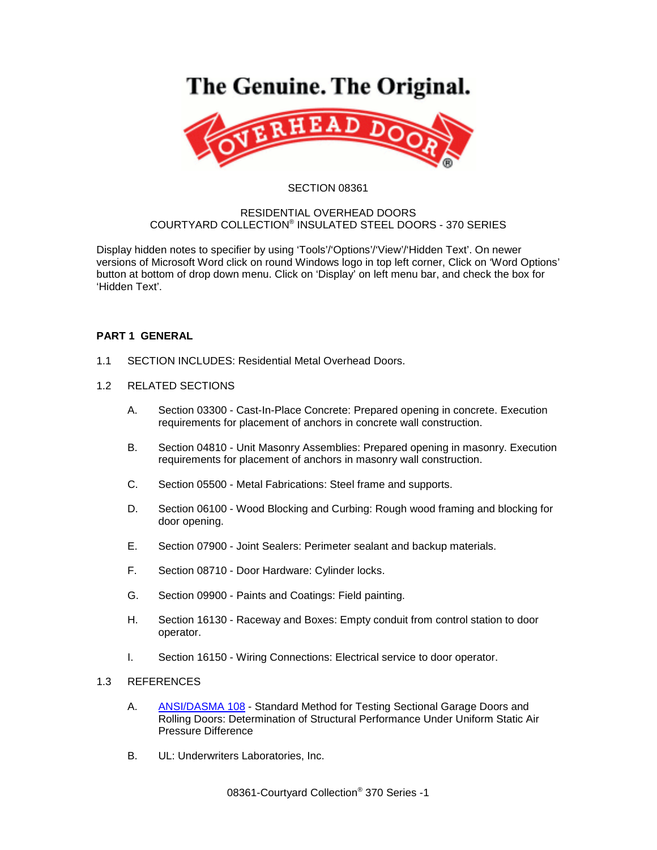# The Genuine. The Original.



#### SECTION 08361

#### RESIDENTIAL OVERHEAD DOORS COURTYARD COLLECTION® INSULATED STEEL DOORS - 370 SERIES

Display hidden notes to specifier by using 'Tools'/'Options'/'View'/'Hidden Text'. On newer versions of Microsoft Word click on round Windows logo in top left corner, Click on 'Word Options' button at bottom of drop down menu. Click on 'Display' on left menu bar, and check the box for 'Hidden Text'.

## **PART 1 GENERAL**

- 1.1 SECTION INCLUDES: Residential Metal Overhead Doors.
- 1.2 RELATED SECTIONS
	- A. Section 03300 Cast-In-Place Concrete: Prepared opening in concrete. Execution requirements for placement of anchors in concrete wall construction.
	- B. Section 04810 Unit Masonry Assemblies: Prepared opening in masonry. Execution requirements for placement of anchors in masonry wall construction.
	- C. Section 05500 Metal Fabrications: Steel frame and supports.
	- D. Section 06100 Wood Blocking and Curbing: Rough wood framing and blocking for door opening.
	- E. Section 07900 Joint Sealers: Perimeter sealant and backup materials.
	- F. Section 08710 Door Hardware: Cylinder locks.
	- G. Section 09900 Paints and Coatings: Field painting.
	- H. Section 16130 Raceway and Boxes: Empty conduit from control station to door operator.
	- I. Section 16150 Wiring Connections: Electrical service to door operator.

### 1.3 REFERENCES

- A. [ANSI/DASMA 108](http://www.dasma.com/PDF/Publications/Standards/108-2005.pdf) Standard Method for Testing Sectional Garage Doors and Rolling Doors: Determination of Structural Performance Under Uniform Static Air Pressure Difference
- B. UL: Underwriters Laboratories, Inc.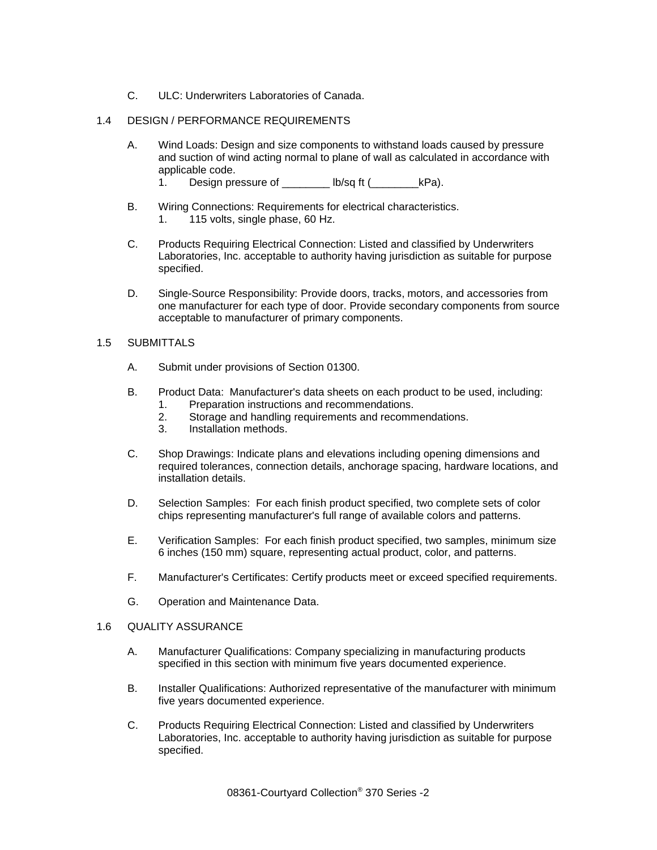C. ULC: Underwriters Laboratories of Canada.

## 1.4 DESIGN / PERFORMANCE REQUIREMENTS

- A. Wind Loads: Design and size components to withstand loads caused by pressure and suction of wind acting normal to plane of wall as calculated in accordance with applicable code.
	- 1. Design pressure of \_\_\_\_\_\_\_\_ lb/sq ft (\_\_\_\_\_\_\_\_\_\_kPa).
- B. Wiring Connections: Requirements for electrical characteristics. 1. 115 volts, single phase, 60 Hz.
- C. Products Requiring Electrical Connection: Listed and classified by Underwriters Laboratories, Inc. acceptable to authority having jurisdiction as suitable for purpose specified.
- D. Single-Source Responsibility: Provide doors, tracks, motors, and accessories from one manufacturer for each type of door. Provide secondary components from source acceptable to manufacturer of primary components.

#### 1.5 SUBMITTALS

- A. Submit under provisions of Section 01300.
- B. Product Data: Manufacturer's data sheets on each product to be used, including:
	- 1. Preparation instructions and recommendations.
	- 2. Storage and handling requirements and recommendations.
	- 3. Installation methods.
- C. Shop Drawings: Indicate plans and elevations including opening dimensions and required tolerances, connection details, anchorage spacing, hardware locations, and installation details.
- D. Selection Samples: For each finish product specified, two complete sets of color chips representing manufacturer's full range of available colors and patterns.
- E. Verification Samples: For each finish product specified, two samples, minimum size 6 inches (150 mm) square, representing actual product, color, and patterns.
- F. Manufacturer's Certificates: Certify products meet or exceed specified requirements.
- G. Operation and Maintenance Data.

#### 1.6 QUALITY ASSURANCE

- A. Manufacturer Qualifications: Company specializing in manufacturing products specified in this section with minimum five years documented experience.
- B. Installer Qualifications: Authorized representative of the manufacturer with minimum five years documented experience.
- C. Products Requiring Electrical Connection: Listed and classified by Underwriters Laboratories, Inc. acceptable to authority having jurisdiction as suitable for purpose specified.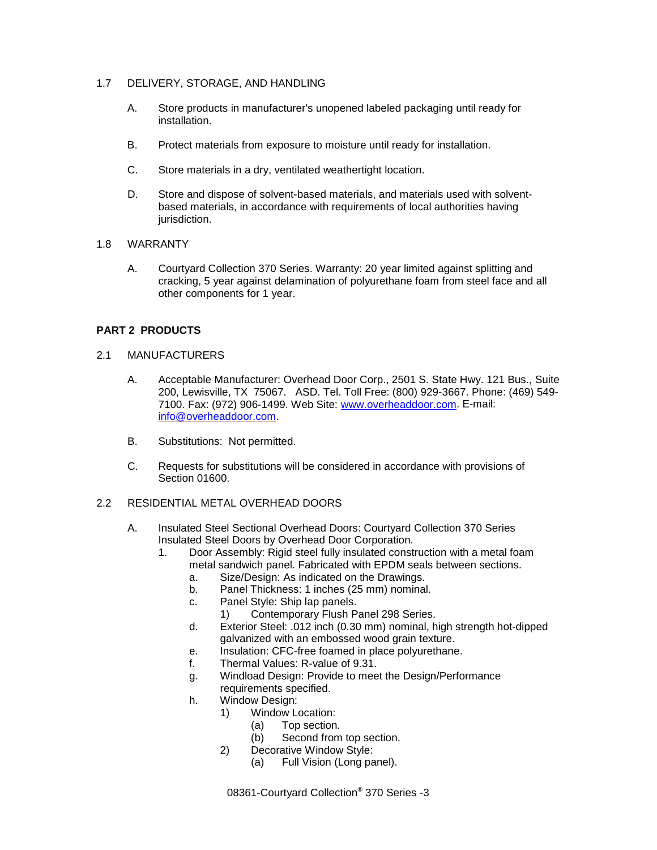### 1.7 DELIVERY, STORAGE, AND HANDLING

- A. Store products in manufacturer's unopened labeled packaging until ready for installation.
- B. Protect materials from exposure to moisture until ready for installation.
- C. Store materials in a dry, ventilated weathertight location.
- D. Store and dispose of solvent-based materials, and materials used with solventbased materials, in accordance with requirements of local authorities having jurisdiction.

#### 1.8 WARRANTY

A. Courtyard Collection 370 Series. Warranty: 20 year limited against splitting and cracking, 5 year against delamination of polyurethane foam from steel face and all other components for 1 year.

## **PART 2 PRODUCTS**

- 2.1 MANUFACTURERS
	- A. Acceptable Manufacturer: Overhead Door Corp., 2501 S. State Hwy. 121 Bus., Suite 200, Lewisville, TX 75067. ASD. Tel. Toll Free: (800) 929-3667. Phone: (469) 549- 7100. Fax: (972) 906-1499. Web Site: [www.overheaddoor.com.](http://www.overheaddoor.com/) E-mail: [info@overheaddoor.com.](mailto:info@overheaddoor.com)
	- B. Substitutions: Not permitted.
	- C. Requests for substitutions will be considered in accordance with provisions of Section 01600.

## 2.2 RESIDENTIAL METAL OVERHEAD DOORS

- A. Insulated Steel Sectional Overhead Doors: Courtyard Collection 370 Series Insulated Steel Doors by Overhead Door Corporation.
	- 1. Door Assembly: Rigid steel fully insulated construction with a metal foam metal sandwich panel. Fabricated with EPDM seals between sections.
		- a. Size/Design: As indicated on the Drawings.
		- b. Panel Thickness: 1 inches (25 mm) nominal.
		- c. Panel Style: Ship lap panels.
			- 1) Contemporary Flush Panel 298 Series.
		- d. Exterior Steel: .012 inch (0.30 mm) nominal, high strength hot-dipped galvanized with an embossed wood grain texture.
		- e. Insulation: CFC-free foamed in place polyurethane.
		- f. Thermal Values: R-value of 9.31.
		- g. Windload Design: Provide to meet the Design/Performance
		- requirements specified.
		- h. Window Design:
			- 1) Window Location:
				- (a) Top section.
				- (b) Second from top section.
				- 2) Decorative Window Style:
					- (a) Full Vision (Long panel).

08361-Courtyard Collection® 370 Series -3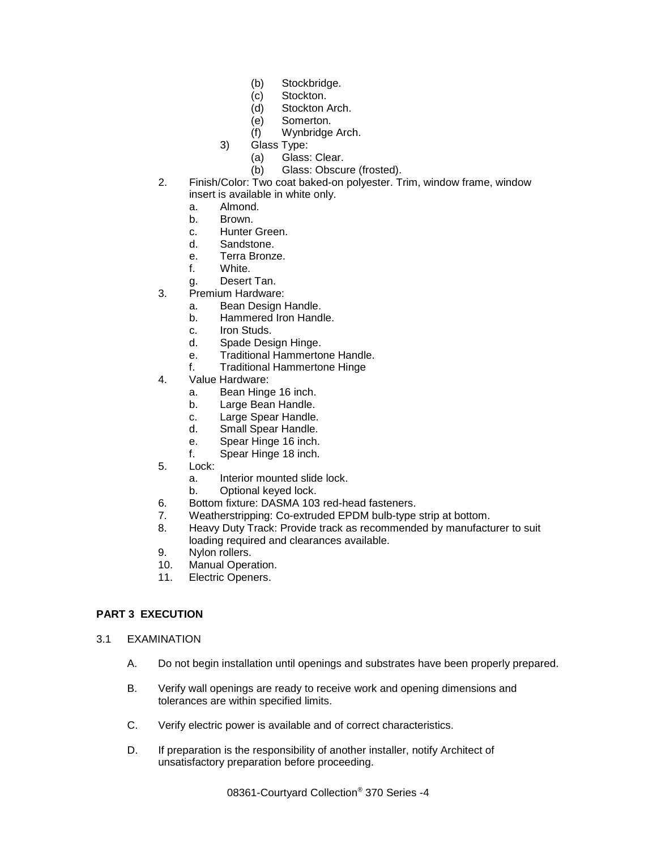- (b) Stockbridge.
- (c) Stockton.
- (d) Stockton Arch.
- (e) Somerton.
- (f) Wynbridge Arch.
- 3) Glass Type:
	- (a) Glass: Clear.
	- (b) Glass: Obscure (frosted).
- 2. Finish/Color: Two coat baked-on polyester. Trim, window frame, window insert is available in white only.
	- a. Almond.
	- b. Brown.
	- c. Hunter Green.
	- d. Sandstone.
	- e. Terra Bronze.
	- f. White.
	- g. Desert Tan.
- 3. Premium Hardware:
	- a. Bean Design Handle.
	- b. Hammered Iron Handle.
	- c. Iron Studs.<br>d. Spade Des
	- Spade Design Hinge.
	- e. Traditional Hammertone Handle.
	- f. Traditional Hammertone Hinge
- 4. Value Hardware:
	- a. Bean Hinge 16 inch.
	- b. Large Bean Handle.
	- c. Large Spear Handle.
	- d. Small Spear Handle.
	- e. Spear Hinge 16 inch.<br>f. Spear Hinge 18 inch.
	- Spear Hinge 18 inch.
- 5. Lock:
	- a. Interior mounted slide lock.
	- b. Optional keyed lock.
- 6. Bottom fixture: DASMA 103 red-head fasteners.
- 7. Weatherstripping: Co-extruded EPDM bulb-type strip at bottom.
- 8. Heavy Duty Track: Provide track as recommended by manufacturer to suit loading required and clearances available.
- 9. Nylon rollers.
- 10. Manual Operation.
- 11. Electric Openers.

## **PART 3 EXECUTION**

- 3.1 EXAMINATION
	- A. Do not begin installation until openings and substrates have been properly prepared.
	- B. Verify wall openings are ready to receive work and opening dimensions and tolerances are within specified limits.
	- C. Verify electric power is available and of correct characteristics.
	- D. If preparation is the responsibility of another installer, notify Architect of unsatisfactory preparation before proceeding.